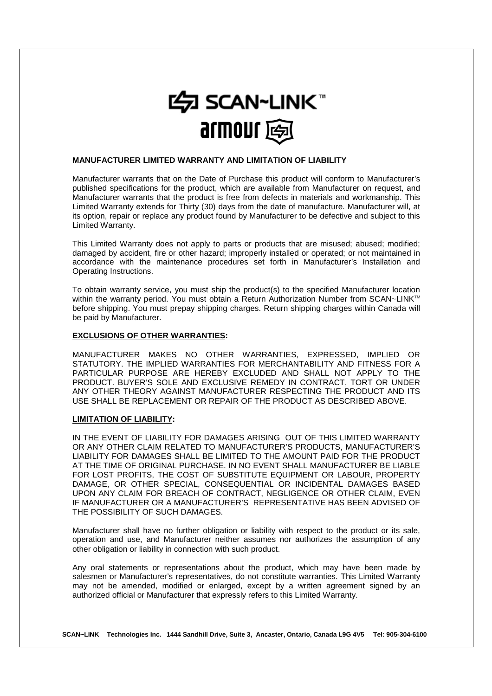

### **MANUFACTURER LIMITED WARRANTY AND LIMITATION OF LIABILITY**

Manufacturer warrants that on the Date of Purchase this product will conform to Manufacturer's published specifications for the product, which are available from Manufacturer on request, and Manufacturer warrants that the product is free from defects in materials and workmanship. This Limited Warranty extends for Thirty (30) days from the date of manufacture. Manufacturer will, at its option, repair or replace any product found by Manufacturer to be defective and subject to this Limited Warranty.

This Limited Warranty does not apply to parts or products that are misused; abused; modified; damaged by accident, fire or other hazard; improperly installed or operated; or not maintained in accordance with the maintenance procedures set forth in Manufacturer's Installation and Operating Instructions.

To obtain warranty service, you must ship the product(s) to the specified Manufacturer location within the warranty period. You must obtain a Return Authorization Number from SCAN~LINK™ before shipping. You must prepay shipping charges. Return shipping charges within Canada will be paid by Manufacturer.

### **EXCLUSIONS OF OTHER WARRANTIES:**

MANUFACTURER MAKES NO OTHER WARRANTIES, EXPRESSED, IMPLIED OR STATUTORY. THE IMPLIED WARRANTIES FOR MERCHANTABILITY AND FITNESS FOR A PARTICULAR PURPOSE ARE HEREBY EXCLUDED AND SHALL NOT APPLY TO THE PRODUCT. BUYER'S SOLE AND EXCLUSIVE REMEDY IN CONTRACT, TORT OR UNDER ANY OTHER THEORY AGAINST MANUFACTURER RESPECTING THE PRODUCT AND ITS USE SHALL BE REPLACEMENT OR REPAIR OF THE PRODUCT AS DESCRIBED ABOVE.

# **LIMITATION OF LIABILITY:**

IN THE EVENT OF LIABILITY FOR DAMAGES ARISING OUT OF THIS LIMITED WARRANTY OR ANY OTHER CLAIM RELATED TO MANUFACTURER'S PRODUCTS, MANUFACTURER'S LIABILITY FOR DAMAGES SHALL BE LIMITED TO THE AMOUNT PAID FOR THE PRODUCT AT THE TIME OF ORIGINAL PURCHASE. IN NO EVENT SHALL MANUFACTURER BE LIABLE FOR LOST PROFITS, THE COST OF SUBSTITUTE EQUIPMENT OR LABOUR, PROPERTY DAMAGE, OR OTHER SPECIAL, CONSEQUENTIAL OR INCIDENTAL DAMAGES BASED UPON ANY CLAIM FOR BREACH OF CONTRACT, NEGLIGENCE OR OTHER CLAIM, EVEN IF MANUFACTURER OR A MANUFACTURER'S REPRESENTATIVE HAS BEEN ADVISED OF THE POSSIBILITY OF SUCH DAMAGES.

Manufacturer shall have no further obligation or liability with respect to the product or its sale, operation and use, and Manufacturer neither assumes nor authorizes the assumption of any other obligation or liability in connection with such product.

Any oral statements or representations about the product, which may have been made by salesmen or Manufacturer's representatives, do not constitute warranties. This Limited Warranty may not be amended, modified or enlarged, except by a written agreement signed by an authorized official or Manufacturer that expressly refers to this Limited Warranty.

**SCAN~LINK Technologies Inc. 1444 Sandhill Drive, Suite 3, Ancaster, Ontario, Canada L9G 4V5 Tel: 905-304-6100**